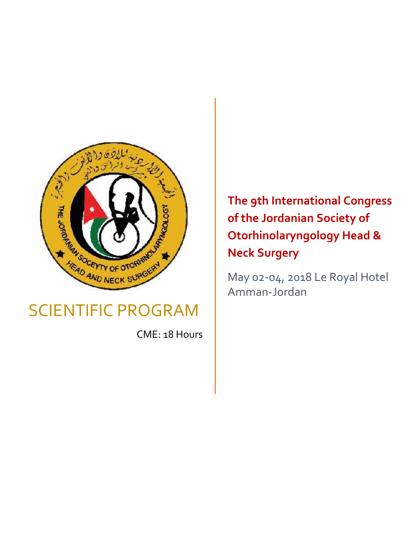

SCIENTIFIC PROGRAM

CME: 18 Hours

**The 9th International Congress of the Jordanian Society of Otorhinolaryngology Head & Neck Surgery**

May 02-04, 2018 Le Royal Hotel Amman-Jordan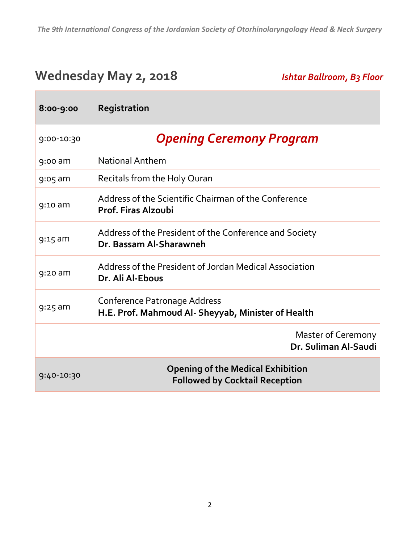## **Wednesday May 2, 2018** *Ishtar Ballroom, B3 Floor*

| 8:00-9:00    | Registration                                                                       |
|--------------|------------------------------------------------------------------------------------|
| 9:00-10:30   | <b>Opening Ceremony Program</b>                                                    |
| $9:00$ am    | <b>National Anthem</b>                                                             |
| $9:05$ am    | Recitals from the Holy Quran                                                       |
| $9:10$ am    | Address of the Scientific Chairman of the Conference<br><b>Prof. Firas Alzoubi</b> |
| $9:15$ am    | Address of the President of the Conference and Society<br>Dr. Bassam Al-Sharawneh  |
| $9:20$ am    | Address of the President of Jordan Medical Association<br>Dr. Ali Al-Ebous         |
| $9:25$ am    | Conference Patronage Address<br>H.E. Prof. Mahmoud Al- Sheyyab, Minister of Health |
|              | Master of Ceremony<br>Dr. Suliman Al-Saudi                                         |
| $9:40-10:30$ | <b>Opening of the Medical Exhibition</b><br><b>Followed by Cocktail Reception</b>  |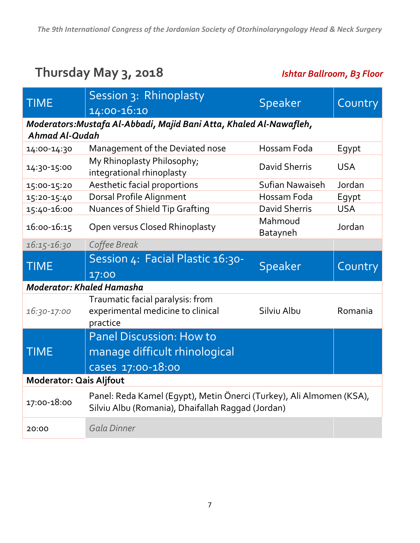## **Thursday May 3, 2018** *Ishtar Ballroom, B3 Floor*

| <b>TIME</b>                                                                                  | Session 3: Rhinoplasty                                                                                                    |                      |            |  |  |  |
|----------------------------------------------------------------------------------------------|---------------------------------------------------------------------------------------------------------------------------|----------------------|------------|--|--|--|
|                                                                                              | 14:00-16:10                                                                                                               | Speaker              | Country    |  |  |  |
| Moderators: Mustafa Al-Abbadi, Majid Bani Atta, Khaled Al-Nawafleh,<br><b>Ahmad Al-Qudah</b> |                                                                                                                           |                      |            |  |  |  |
|                                                                                              |                                                                                                                           | Hossam Foda          |            |  |  |  |
| 14:00-14:30                                                                                  | Management of the Deviated nose                                                                                           |                      | Egypt      |  |  |  |
| 14:30-15:00                                                                                  | My Rhinoplasty Philosophy;<br>integrational rhinoplasty                                                                   | David Sherris        | <b>USA</b> |  |  |  |
| 15:00-15:20                                                                                  | Aesthetic facial proportions                                                                                              | Sufian Nawaiseh      | Jordan     |  |  |  |
| 15:20-15:40                                                                                  | Dorsal Profile Alignment                                                                                                  | Hossam Foda          | Egypt      |  |  |  |
| 15:40-16:00                                                                                  | Nuances of Shield Tip Grafting                                                                                            | <b>David Sherris</b> | <b>USA</b> |  |  |  |
| 16:00-16:15                                                                                  | Open versus Closed Rhinoplasty                                                                                            | Mahmoud<br>Batayneh  | Jordan     |  |  |  |
| 16:15-16:30                                                                                  | Coffee Break                                                                                                              |                      |            |  |  |  |
| <b>TIME</b>                                                                                  | Session 4: Facial Plastic 16:30-                                                                                          | Speaker              | Country    |  |  |  |
|                                                                                              | 17:00                                                                                                                     |                      |            |  |  |  |
| <b>Moderator: Khaled Hamasha</b>                                                             |                                                                                                                           |                      |            |  |  |  |
|                                                                                              | Traumatic facial paralysis: from                                                                                          |                      |            |  |  |  |
| 16:30-17:00                                                                                  | experimental medicine to clinical<br>practice                                                                             | Silviu Albu          | Romania    |  |  |  |
|                                                                                              | <b>Panel Discussion: How to</b>                                                                                           |                      |            |  |  |  |
| <b>TIME</b>                                                                                  | manage difficult rhinological                                                                                             |                      |            |  |  |  |
|                                                                                              | cases 17:00-18:00                                                                                                         |                      |            |  |  |  |
| <b>Moderator: Qais Aljfout</b>                                                               |                                                                                                                           |                      |            |  |  |  |
| 17:00-18:00                                                                                  | Panel: Reda Kamel (Egypt), Metin Önerci (Turkey), Ali Almomen (KSA),<br>Silviu Albu (Romania), Dhaifallah Raggad (Jordan) |                      |            |  |  |  |
|                                                                                              |                                                                                                                           |                      |            |  |  |  |